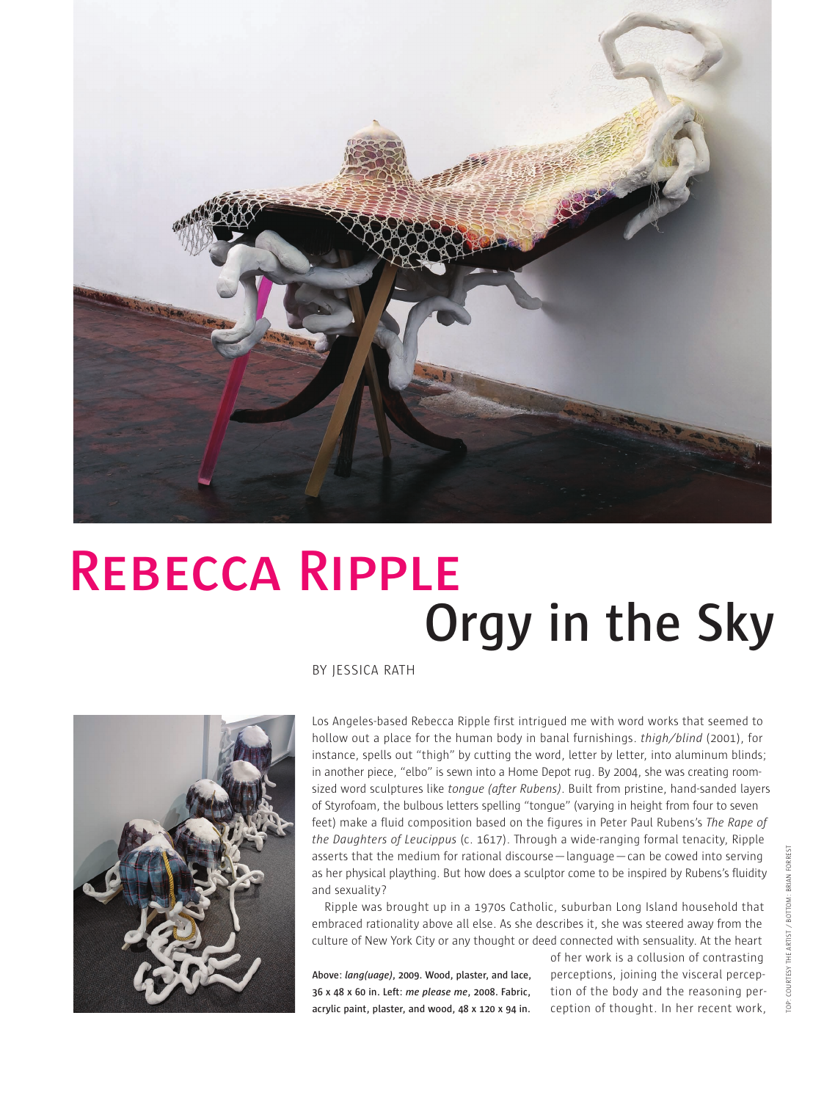

## **Orgy in the Sky REBECCA RIPPLE**

BY JESSICA RATH



Los Angeles-based Rebecca Ripple first intrigued me with word works that seemed to hollow out a place for the human body in banal furnishings. *thigh/blind* (2001), for instance, spells out "thigh" by cutting the word, letter by letter, into aluminum blinds; in another piece, "elbo" is sewn into a Home Depot rug. By 2004, she was creating roomsized word sculptures like *tongue (after Rubens)*. Built from pristine, hand-sanded layers of Styrofoam, the bulbous letters spelling "tongue" (varying in height from four to seven feet) make a fluid composition based on the figures in Peter Paul Rubens's *The Rape of the Daughters of Leucippus* (c. 1617). Through a wide-ranging formal tenacity, Ripple asserts that the medium for rational discourse—language—can be cowed into serving as her physical plaything. But how does a sculptor come to be inspired by Rubens's fluidity and sexuality?

Ripple was brought up in a 1970s Catholic, suburban Long Island household that embraced rationality above all else. As she describes it, she was steered away from the culture of New York City or any thought or deed connected with sensuality. At the heart

**Above:** *lang(uage)***, 2009. Wood, plaster, and lace, 36 x 48 x 60 in. Left:** *me please me***, 2008. Fabric, acrylic paint, plaster, and wood, 48 x 120 x 94 in.**

of her work is a collusion of contrasting perceptions, joining the visceral perception of the body and the reasoning perception of thought. In her recent work,